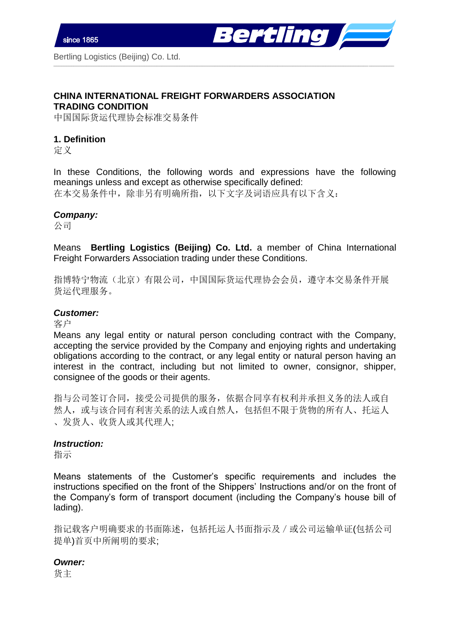

## **CHINA INTERNATIONAL FREIGHT FORWARDERS ASSOCIATION TRADING CONDITION**

中国国际货运代理协会标准交易条件

## **1. Definition**

定义

In these Conditions, the following words and expressions have the following meanings unless and except as otherwise specifically defined: 在本交易条件中,除非另有明确所指,以下文字及词语应具有以下含义:

\_\_\_\_\_\_\_\_\_\_\_\_\_\_\_\_\_\_\_\_\_\_\_\_\_\_\_\_\_\_\_\_\_\_\_\_\_\_\_\_\_\_\_\_\_\_\_\_\_\_\_\_\_\_\_\_\_\_\_\_\_\_\_\_\_\_\_\_\_\_\_\_\_\_\_\_\_\_\_\_\_\_\_\_\_\_\_\_\_\_\_\_\_\_\_\_\_\_\_\_\_\_\_\_\_\_\_\_\_\_\_\_\_\_\_\_\_\_\_\_\_\_\_\_\_\_\_\_\_\_\_\_\_\_\_

#### *Company:*

公司

Means **Bertling Logistics (Beijing) Co. Ltd.** a member of China International Freight Forwarders Association trading under these Conditions.

指博特宁物流(北京)有限公司,中国国际货运代理协会会员,遵守本交易条件开展 货运代理服务。

### *Customer:*

客户

Means any legal entity or natural person concluding contract with the Company, accepting the service provided by the Company and enjoying rights and undertaking obligations according to the contract, or any legal entity or natural person having an interest in the contract, including but not limited to owner, consignor, shipper, consignee of the goods or their agents.

指与公司签订合同,接受公司提供的服务,依据合同享有权利并承担义务的法人或自 然人,或与该合同有利害关系的法人或自然人,包括但不限于货物的所有人、托运人 、发货人、收货人或其代理人;

### *Instruction:*

指示

Means statements of the Customer's specific requirements and includes the instructions specified on the front of the Shippers' Instructions and/or on the front of the Company's form of transport document (including the Company's house bill of lading).

指记载客户明确要求的书面陈述,包括托运人书面指示及/或公司运输单证(包括公司 提单)首页中所阐明的要求;

#### *Owner:*

货主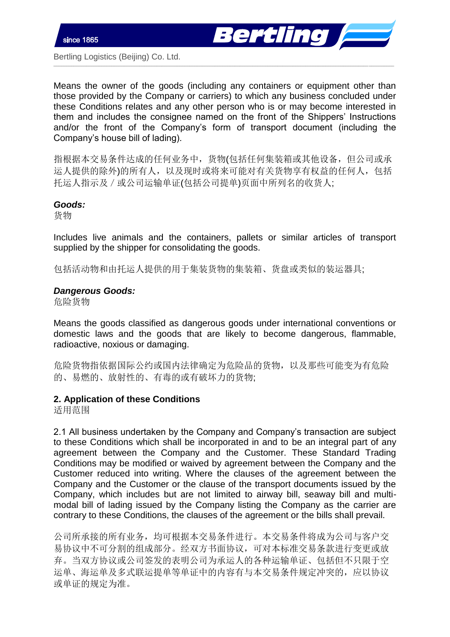



Means the owner of the goods (including any containers or equipment other than those provided by the Company or carriers) to which any business concluded under these Conditions relates and any other person who is or may become interested in them and includes the consignee named on the front of the Shippers' Instructions and/or the front of the Company's form of transport document (including the Company's house bill of lading).

\_\_\_\_\_\_\_\_\_\_\_\_\_\_\_\_\_\_\_\_\_\_\_\_\_\_\_\_\_\_\_\_\_\_\_\_\_\_\_\_\_\_\_\_\_\_\_\_\_\_\_\_\_\_\_\_\_\_\_\_\_\_\_\_\_\_\_\_\_\_\_\_\_\_\_\_\_\_\_\_\_\_\_\_\_\_\_\_\_\_\_\_\_\_\_\_\_\_\_\_\_\_\_\_\_\_\_\_\_\_\_\_\_\_\_\_\_\_\_\_\_\_\_\_\_\_\_\_\_\_\_\_\_\_\_

指根据本交易条件达成的任何业务中,货物(包括任何集装箱或其他设备,但公司或承 运人提供的除外)的所有人,以及现时或将来可能对有关货物享有权益的任何人,包括 托运人指示及/或公司运输单证(包括公司提单)页面中所列名的收货人;

#### *Goods:*

货物

Includes live animals and the containers, pallets or similar articles of transport supplied by the shipper for consolidating the goods.

包括活动物和由托运人提供的用于集装货物的集装箱、货盘或类似的装运器具;

### *Dangerous Goods:*

危险货物

Means the goods classified as dangerous goods under international conventions or domestic laws and the goods that are likely to become dangerous, flammable, radioactive, noxious or damaging.

危险货物指依据国际公约或国内法律确定为危险品的货物,以及那些可能变为有危险 的、易燃的、放射性的、有毒的或有破坏力的货物;

## **2. Application of these Conditions**

适用范围

2.1 All business undertaken by the Company and Company's transaction are subject to these Conditions which shall be incorporated in and to be an integral part of any agreement between the Company and the Customer. These Standard Trading Conditions may be modified or waived by agreement between the Company and the Customer reduced into writing. Where the clauses of the agreement between the Company and the Customer or the clause of the transport documents issued by the Company, which includes but are not limited to airway bill, seaway bill and multimodal bill of lading issued by the Company listing the Company as the carrier are contrary to these Conditions, the clauses of the agreement or the bills shall prevail.

公司所承接的所有业务,均可根据本交易条件进行。本交易条件将成为公司与客户交 易协议中不可分割的组成部分。经双方书面协议,可对本标准交易条款进行变更或放 弃。当双方协议或公司签发的表明公司为承运人的各种运输单证、包括但不只限于空 运单、海运单及多式联运提单等单证中的内容有与本交易条件规定冲突的,应以协议 或单证的规定为准。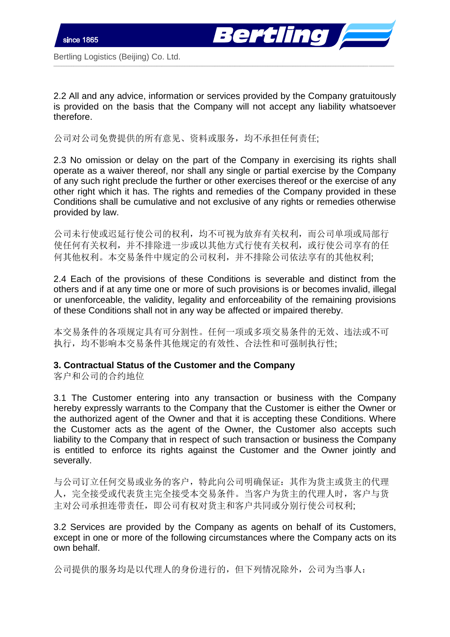



2.2 All and any advice, information or services provided by the Company gratuitously is provided on the basis that the Company will not accept any liability whatsoever therefore.

\_\_\_\_\_\_\_\_\_\_\_\_\_\_\_\_\_\_\_\_\_\_\_\_\_\_\_\_\_\_\_\_\_\_\_\_\_\_\_\_\_\_\_\_\_\_\_\_\_\_\_\_\_\_\_\_\_\_\_\_\_\_\_\_\_\_\_\_\_\_\_\_\_\_\_\_\_\_\_\_\_\_\_\_\_\_\_\_\_\_\_\_\_\_\_\_\_\_\_\_\_\_\_\_\_\_\_\_\_\_\_\_\_\_\_\_\_\_\_\_\_\_\_\_\_\_\_\_\_\_\_\_\_\_\_

公司对公司免费提供的所有意见、资料或服务,均不承担任何责任;

2.3 No omission or delay on the part of the Company in exercising its rights shall operate as a waiver thereof, nor shall any single or partial exercise by the Company of any such right preclude the further or other exercises thereof or the exercise of any other right which it has. The rights and remedies of the Company provided in these Conditions shall be cumulative and not exclusive of any rights or remedies otherwise provided by law.

公司未行使或迟延行使公司的权利,均不可视为放弃有关权利,而公司单项或局部行 使任何有关权利,并不排除进一步或以其他方式行使有关权利,或行使公司享有的任 何其他权利。本交易条件中规定的公司权利,并不排除公司依法享有的其他权利;

2.4 Each of the provisions of these Conditions is severable and distinct from the others and if at any time one or more of such provisions is or becomes invalid, illegal or unenforceable, the validity, legality and enforceability of the remaining provisions of these Conditions shall not in any way be affected or impaired thereby.

本交易条件的各项规定具有可分割性。任何一项或多项交易条件的无效、违法或不可 执行,均不影响本交易条件其他规定的有效性、合法性和可强制执行性;

## **3. Contractual Status of the Customer and the Company**

客户和公司的合约地位

3.1 The Customer entering into any transaction or business with the Company hereby expressly warrants to the Company that the Customer is either the Owner or the authorized agent of the Owner and that it is accepting these Conditions. Where the Customer acts as the agent of the Owner, the Customer also accepts such liability to the Company that in respect of such transaction or business the Company is entitled to enforce its rights against the Customer and the Owner jointly and severally.

与公司订立任何交易或业务的客户,特此向公司明确保证:其作为货主或货主的代理 人,完全接受或代表货主完全接受本交易条件。当客户为货主的代理人时,客户与货 主对公司承担连带责任,即公司有权对货主和客户共同或分别行使公司权利;

3.2 Services are provided by the Company as agents on behalf of its Customers, except in one or more of the following circumstances where the Company acts on its own behalf.

公司提供的服务均是以代理人的身份进行的,但下列情况除外,公司为当事人: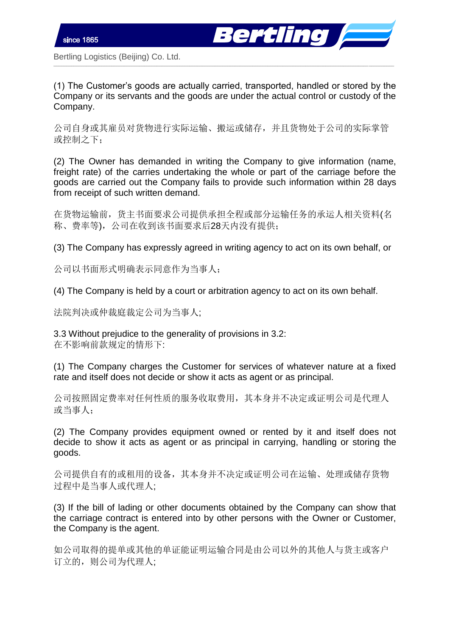

(1) The Customer's goods are actually carried, transported, handled or stored by the Company or its servants and the goods are under the actual control or custody of the Company.

\_\_\_\_\_\_\_\_\_\_\_\_\_\_\_\_\_\_\_\_\_\_\_\_\_\_\_\_\_\_\_\_\_\_\_\_\_\_\_\_\_\_\_\_\_\_\_\_\_\_\_\_\_\_\_\_\_\_\_\_\_\_\_\_\_\_\_\_\_\_\_\_\_\_\_\_\_\_\_\_\_\_\_\_\_\_\_\_\_\_\_\_\_\_\_\_\_\_\_\_\_\_\_\_\_\_\_\_\_\_\_\_\_\_\_\_\_\_\_\_\_\_\_\_\_\_\_\_\_\_\_\_\_\_\_

公司自身或其雇员对货物进行实际运输、搬运或储存,并且货物处于公司的实际掌管 或控制之下;

(2) The Owner has demanded in writing the Company to give information (name, freight rate) of the carries undertaking the whole or part of the carriage before the goods are carried out the Company fails to provide such information within 28 days from receipt of such written demand.

在货物运输前,货主书面要求公司提供承担全程或部分运输任务的承运人相关资料(名 称、费率等),公司在收到该书面要求后28天内没有提供;

(3) The Company has expressly agreed in writing agency to act on its own behalf, or

公司以书面形式明确表示同意作为当事人;

(4) The Company is held by a court or arbitration agency to act on its own behalf.

法院判决或仲裁庭裁定公司为当事人;

3.3 Without prejudice to the generality of provisions in 3.2: 在不影响前款规定的情形下:

(1) The Company charges the Customer for services of whatever nature at a fixed rate and itself does not decide or show it acts as agent or as principal.

公司按照固定费率对任何性质的服务收取费用,其本身并不决定或证明公司是代理人 或当事人;

(2) The Company provides equipment owned or rented by it and itself does not decide to show it acts as agent or as principal in carrying, handling or storing the goods.

公司提供自有的或租用的设备,其本身并不决定或证明公司在运输、处理或储存货物 过程中是当事人或代理人;

(3) If the bill of lading or other documents obtained by the Company can show that the carriage contract is entered into by other persons with the Owner or Customer, the Company is the agent.

如公司取得的提单或其他的单证能证明运输合同是由公司以外的其他人与货主或客户 订立的,则公司为代理人;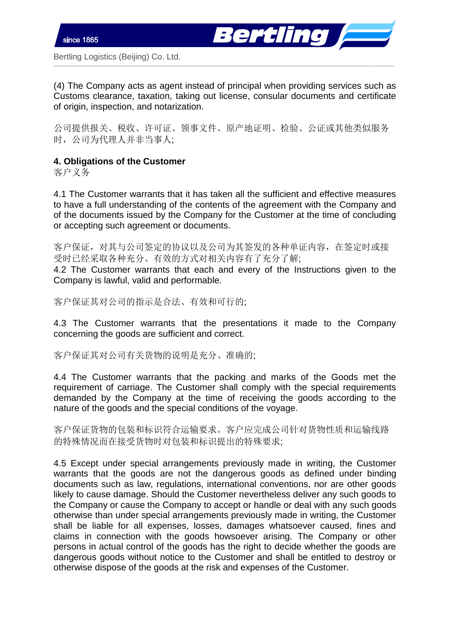



(4) The Company acts as agent instead of principal when providing services such as Customs clearance, taxation, taking out license, consular documents and certificate of origin, inspection, and notarization.

\_\_\_\_\_\_\_\_\_\_\_\_\_\_\_\_\_\_\_\_\_\_\_\_\_\_\_\_\_\_\_\_\_\_\_\_\_\_\_\_\_\_\_\_\_\_\_\_\_\_\_\_\_\_\_\_\_\_\_\_\_\_\_\_\_\_\_\_\_\_\_\_\_\_\_\_\_\_\_\_\_\_\_\_\_\_\_\_\_\_\_\_\_\_\_\_\_\_\_\_\_\_\_\_\_\_\_\_\_\_\_\_\_\_\_\_\_\_\_\_\_\_\_\_\_\_\_\_\_\_\_\_\_\_\_

公司提供报关、税收、许可证、领事文件、原产地证明、检验、公证或其他类似服务 时,公司为代理人并非当事人;

# **4. Obligations of the Customer**

客户义务

4.1 The Customer warrants that it has taken all the sufficient and effective measures to have a full understanding of the contents of the agreement with the Company and of the documents issued by the Company for the Customer at the time of concluding or accepting such agreement or documents.

客户保证,对其与公司签定的协议以及公司为其签发的各种单证内容,在签定时或接 受时已经采取各种充分、有效的方式对相关内容有了充分了解;

4.2 The Customer warrants that each and every of the Instructions given to the Company is lawful, valid and performable.

客户保证其对公司的指示是合法、有效和可行的;

4.3 The Customer warrants that the presentations it made to the Company concerning the goods are sufficient and correct.

客户保证其对公司有关货物的说明是充分、准确的;

4.4 The Customer warrants that the packing and marks of the Goods met the requirement of carriage. The Customer shall comply with the special requirements demanded by the Company at the time of receiving the goods according to the nature of the goods and the special conditions of the voyage.

客户保证货物的包装和标识符合运输要求。客户应完成公司针对货物性质和运输线路 的特殊情况而在接受货物时对包装和标识提出的特殊要求;

4.5 Except under special arrangements previously made in writing, the Customer warrants that the goods are not the dangerous goods as defined under binding documents such as law, regulations, international conventions, nor are other goods likely to cause damage. Should the Customer nevertheless deliver any such goods to the Company or cause the Company to accept or handle or deal with any such goods otherwise than under special arrangements previously made in writing, the Customer shall be liable for all expenses, losses, damages whatsoever caused, fines and claims in connection with the goods howsoever arising. The Company or other persons in actual control of the goods has the right to decide whether the goods are dangerous goods without notice to the Customer and shall be entitled to destroy or otherwise dispose of the goods at the risk and expenses of the Customer.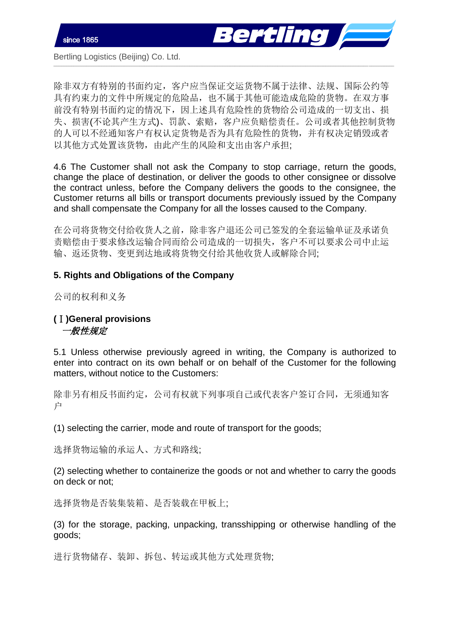

除非双方有特别的书面约定,客户应当保证交运货物不属于法律、法规、国际公约等 具有约束力的文件中所规定的危险品,也不属于其他可能造成危险的货物。在双方事 前没有特别书面约定的情况下,因上述具有危险性的货物给公司造成的一切支出、损 失、损害(不论其产生方式)、罚款、索赔,客户应负赔偿责任。公司或者其他控制货物 的人可以不经通知客户有权认定货物是否为具有危险性的货物,并有权决定销毁或者 以其他方式处置该货物,由此产生的风险和支出由客户承担;

\_\_\_\_\_\_\_\_\_\_\_\_\_\_\_\_\_\_\_\_\_\_\_\_\_\_\_\_\_\_\_\_\_\_\_\_\_\_\_\_\_\_\_\_\_\_\_\_\_\_\_\_\_\_\_\_\_\_\_\_\_\_\_\_\_\_\_\_\_\_\_\_\_\_\_\_\_\_\_\_\_\_\_\_\_\_\_\_\_\_\_\_\_\_\_\_\_\_\_\_\_\_\_\_\_\_\_\_\_\_\_\_\_\_\_\_\_\_\_\_\_\_\_\_\_\_\_\_\_\_\_\_\_\_\_

4.6 The Customer shall not ask the Company to stop carriage, return the goods, change the place of destination, or deliver the goods to other consignee or dissolve the contract unless, before the Company delivers the goods to the consignee, the Customer returns all bills or transport documents previously issued by the Company and shall compensate the Company for all the losses caused to the Company.

在公司将货物交付给收货人之前,除非客户退还公司已签发的全套运输单证及承诺负 责赔偿由于要求修改运输合同而给公司造成的一切损失,客户不可以要求公司中止运 输、返还货物、变更到达地或将货物交付给其他收货人或解除合同;

### **5. Rights and Obligations of the Company**

公司的权利和义务

## **(**Ⅰ**)General provisions**  一般性规定

5.1 Unless otherwise previously agreed in writing, the Company is authorized to enter into contract on its own behalf or on behalf of the Customer for the following matters, without notice to the Customers:

除非另有相反书面约定,公司有权就下列事项自己或代表客户签订合同,无须通知客 户

(1) selecting the carrier, mode and route of transport for the goods;

选择货物运输的承运人、方式和路线;

(2) selecting whether to containerize the goods or not and whether to carry the goods on deck or not;

选择货物是否装集装箱、是否装载在甲板上;

(3) for the storage, packing, unpacking, transshipping or otherwise handling of the goods;

进行货物储存、装卸、拆包、转运或其他方式处理货物;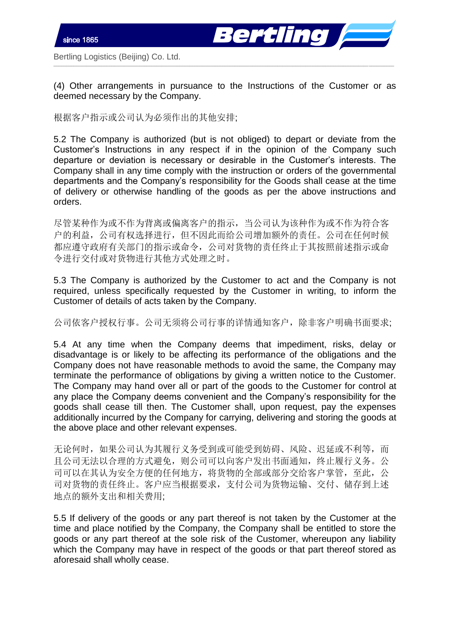

(4) Other arrangements in pursuance to the Instructions of the Customer or as deemed necessary by the Company.

\_\_\_\_\_\_\_\_\_\_\_\_\_\_\_\_\_\_\_\_\_\_\_\_\_\_\_\_\_\_\_\_\_\_\_\_\_\_\_\_\_\_\_\_\_\_\_\_\_\_\_\_\_\_\_\_\_\_\_\_\_\_\_\_\_\_\_\_\_\_\_\_\_\_\_\_\_\_\_\_\_\_\_\_\_\_\_\_\_\_\_\_\_\_\_\_\_\_\_\_\_\_\_\_\_\_\_\_\_\_\_\_\_\_\_\_\_\_\_\_\_\_\_\_\_\_\_\_\_\_\_\_\_\_\_

根据客户指示或公司认为必须作出的其他安排;

5.2 The Company is authorized (but is not obliged) to depart or deviate from the Customer's Instructions in any respect if in the opinion of the Company such departure or deviation is necessary or desirable in the Customer's interests. The Company shall in any time comply with the instruction or orders of the governmental departments and the Company's responsibility for the Goods shall cease at the time of delivery or otherwise handling of the goods as per the above instructions and orders.

尽管某种作为或不作为背离或偏离客户的指示,当公司认为该种作为或不作为符合客 户的利益,公司有权选择进行,但不因此而给公司增加额外的责任。公司在任何时候 都应遵守政府有关部门的指示或命令,公司对货物的责任终止于其按照前述指示或命 令进行交付或对货物进行其他方式处理之时。

5.3 The Company is authorized by the Customer to act and the Company is not required, unless specifically requested by the Customer in writing, to inform the Customer of details of acts taken by the Company.

公司依客户授权行事。公司无须将公司行事的详情通知客户,除非客户明确书面要求;

5.4 At any time when the Company deems that impediment, risks, delay or disadvantage is or likely to be affecting its performance of the obligations and the Company does not have reasonable methods to avoid the same, the Company may terminate the performance of obligations by giving a written notice to the Customer. The Company may hand over all or part of the goods to the Customer for control at any place the Company deems convenient and the Company's responsibility for the goods shall cease till then. The Customer shall, upon request, pay the expenses additionally incurred by the Company for carrying, delivering and storing the goods at the above place and other relevant expenses.

无论何时,如果公司认为其履行义务受到或可能受到妨碍、风险、迟延或不利等,而 且公司无法以合理的方式避免,则公司可以向客户发出书面通知,终止履行义务。公 司可以在其认为安全方便的任何地方,将货物的全部或部分交给客户掌管,至此,公 司对货物的责任终止。客户应当根据要求,支付公司为货物运输、交付、储存到上述 地点的额外支出和相关费用;

5.5 If delivery of the goods or any part thereof is not taken by the Customer at the time and place notified by the Company, the Company shall be entitled to store the goods or any part thereof at the sole risk of the Customer, whereupon any liability which the Company may have in respect of the goods or that part thereof stored as aforesaid shall wholly cease.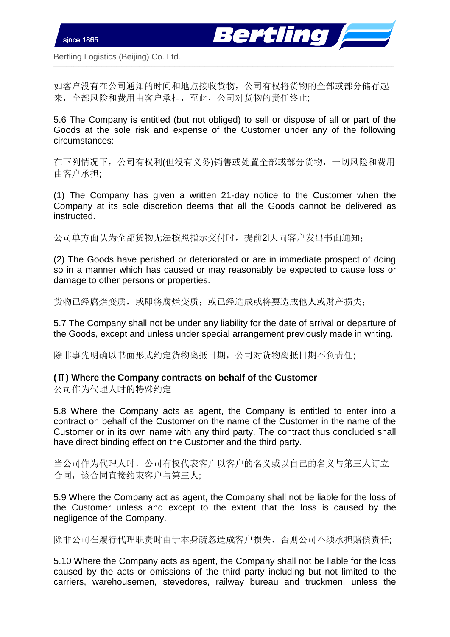

如客户没有在公司通知的时间和地点接收货物,公司有权将货物的全部或部分储存起 来,全部风险和费用由客户承担,至此,公司对货物的责任终止;

\_\_\_\_\_\_\_\_\_\_\_\_\_\_\_\_\_\_\_\_\_\_\_\_\_\_\_\_\_\_\_\_\_\_\_\_\_\_\_\_\_\_\_\_\_\_\_\_\_\_\_\_\_\_\_\_\_\_\_\_\_\_\_\_\_\_\_\_\_\_\_\_\_\_\_\_\_\_\_\_\_\_\_\_\_\_\_\_\_\_\_\_\_\_\_\_\_\_\_\_\_\_\_\_\_\_\_\_\_\_\_\_\_\_\_\_\_\_\_\_\_\_\_\_\_\_\_\_\_\_\_\_\_\_\_

5.6 The Company is entitled (but not obliged) to sell or dispose of all or part of the Goods at the sole risk and expense of the Customer under any of the following circumstances:

在下列情况下,公司有权利(但没有义务)销售或处置全部或部分货物,一切风险和费用 由客户承担;

(1) The Company has given a written 21-day notice to the Customer when the Company at its sole discretion deems that all the Goods cannot be delivered as instructed.

公司单方面认为全部货物无法按照指示交付时,提前2l天向客户发出书面通知;

(2) The Goods have perished or deteriorated or are in immediate prospect of doing so in a manner which has caused or may reasonably be expected to cause loss or damage to other persons or properties.

货物已经腐烂变质,或即将腐烂变质;或已经造成或将要造成他人或财产损失;

5.7 The Company shall not be under any liability for the date of arrival or departure of the Goods, except and unless under special arrangement previously made in writing.

除非事先明确以书面形式约定货物离抵日期,公司对货物离抵日期不负责任;

#### **(**Ⅱ**) Where the Company contracts on behalf of the Customer**

公司作为代理人时的特殊约定

5.8 Where the Company acts as agent, the Company is entitled to enter into a contract on behalf of the Customer on the name of the Customer in the name of the Customer or in its own name with any third party. The contract thus concluded shall have direct binding effect on the Customer and the third party.

当公司作为代理人时,公司有权代表客户以客户的名义或以自己的名义与第三人订立 合同,该合同直接约束客户与第三人;

5.9 Where the Company act as agent, the Company shall not be liable for the loss of the Customer unless and except to the extent that the loss is caused by the negligence of the Company.

除非公司在履行代理职责时由于本身疏忽造成客户损失,否则公司不须承担赔偿责任;

5.10 Where the Company acts as agent, the Company shall not be liable for the loss caused by the acts or omissions of the third party including but not limited to the carriers, warehousemen, stevedores, railway bureau and truckmen, unless the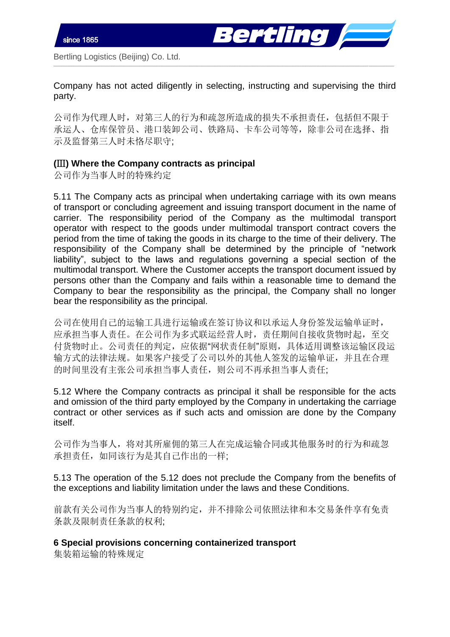

Company has not acted diligently in selecting, instructing and supervising the third party.

\_\_\_\_\_\_\_\_\_\_\_\_\_\_\_\_\_\_\_\_\_\_\_\_\_\_\_\_\_\_\_\_\_\_\_\_\_\_\_\_\_\_\_\_\_\_\_\_\_\_\_\_\_\_\_\_\_\_\_\_\_\_\_\_\_\_\_\_\_\_\_\_\_\_\_\_\_\_\_\_\_\_\_\_\_\_\_\_\_\_\_\_\_\_\_\_\_\_\_\_\_\_\_\_\_\_\_\_\_\_\_\_\_\_\_\_\_\_\_\_\_\_\_\_\_\_\_\_\_\_\_\_\_\_\_

公司作为代理人时,对第三人的行为和疏忽所造成的损失不承担责任,包括但不限于 承运人、仓库保管员、港口装卸公司、铁路局、卡车公司等等,除非公司在选择、指 示及监督第三人时未恪尽职守;

## **(**Ⅲ**) Where the Company contracts as principal**

公司作为当事人时的特殊约定

5.11 The Company acts as principal when undertaking carriage with its own means of transport or concluding agreement and issuing transport document in the name of carrier. The responsibility period of the Company as the multimodal transport operator with respect to the goods under multimodal transport contract covers the period from the time of taking the goods in its charge to the time of their delivery. The responsibility of the Company shall be determined by the principle of "network liability", subject to the laws and regulations governing a special section of the multimodal transport. Where the Customer accepts the transport document issued by persons other than the Company and fails within a reasonable time to demand the Company to bear the responsibility as the principal, the Company shall no longer bear the responsibility as the principal.

公司在使用自己的运输工具进行运输或在签订协议和以承运人身份签发运输单证时, 应承担当事人责任。在公司作为多式联运经营人时,责任期间自接收货物时起,至交 付货物时止。公司责任的判定,应依据"网状责任制"原则,具体适用调整该运输区段运 输方式的法律法规。如果客户接受了公司以外的其他人签发的运输单证,并且在合理 的时间里没有主张公司承担当事人责任,则公司不再承担当事人责任;

5.12 Where the Company contracts as principal it shall be responsible for the acts and omission of the third party employed by the Company in undertaking the carriage contract or other services as if such acts and omission are done by the Company itself.

公司作为当事人,将对其所雇佣的第三人在完成运输合同或其他服务时的行为和疏忽 承担责任,如同该行为是其自己作出的一样;

5.13 The operation of the 5.12 does not preclude the Company from the benefits of the exceptions and liability limitation under the laws and these Conditions.

前款有关公司作为当事人的特别约定,并不排除公司依照法律和本交易条件享有免责 条款及限制责任条款的权利;

**6 Special provisions concerning containerized transport** 

集装箱运输的特殊规定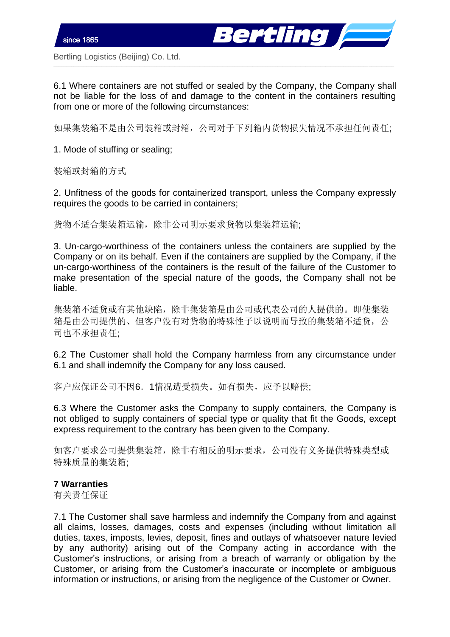6.1 Where containers are not stuffed or sealed by the Company, the Company shall not be liable for the loss of and damage to the content in the containers resulting from one or more of the following circumstances:

\_\_\_\_\_\_\_\_\_\_\_\_\_\_\_\_\_\_\_\_\_\_\_\_\_\_\_\_\_\_\_\_\_\_\_\_\_\_\_\_\_\_\_\_\_\_\_\_\_\_\_\_\_\_\_\_\_\_\_\_\_\_\_\_\_\_\_\_\_\_\_\_\_\_\_\_\_\_\_\_\_\_\_\_\_\_\_\_\_\_\_\_\_\_\_\_\_\_\_\_\_\_\_\_\_\_\_\_\_\_\_\_\_\_\_\_\_\_\_\_\_\_\_\_\_\_\_\_\_\_\_\_\_\_\_

ertling *|*=

如果集装箱不是由公司装箱或封箱,公司对于下列箱内货物损失情况不承担任何责任;

1. Mode of stuffing or sealing;

装箱或封箱的方式

2. Unfitness of the goods for containerized transport, unless the Company expressly requires the goods to be carried in containers;

货物不适合集装箱运输,除非公司明示要求货物以集装箱运输;

3. Un-cargo-worthiness of the containers unless the containers are supplied by the Company or on its behalf. Even if the containers are supplied by the Company, if the un-cargo-worthiness of the containers is the result of the failure of the Customer to make presentation of the special nature of the goods, the Company shall not be liable.

集装箱不适货或有其他缺陷,除非集装箱是由公司或代表公司的人提供的。即使集装 箱是由公司提供的、但客户没有对货物的特殊性子以说明而导致的集装箱不适货,公 司也不承担责任;

6.2 The Customer shall hold the Company harmless from any circumstance under 6.1 and shall indemnify the Company for any loss caused.

客户应保证公司不因6.1情况遭受损失。如有损失,应予以赔偿;

6.3 Where the Customer asks the Company to supply containers, the Company is not obliged to supply containers of special type or quality that fit the Goods, except express requirement to the contrary has been given to the Company.

如客户要求公司提供集装箱,除非有相反的明示要求,公司没有义务提供特殊类型或 特殊质量的集装箱;

## **7 Warranties**

有关责任保证

7.1 The Customer shall save harmless and indemnify the Company from and against all claims, losses, damages, costs and expenses (including without limitation all duties, taxes, imposts, levies, deposit, fines and outlays of whatsoever nature levied by any authority) arising out of the Company acting in accordance with the Customer's instructions, or arising from a breach of warranty or obligation by the Customer, or arising from the Customer's inaccurate or incomplete or ambiguous information or instructions, or arising from the negligence of the Customer or Owner.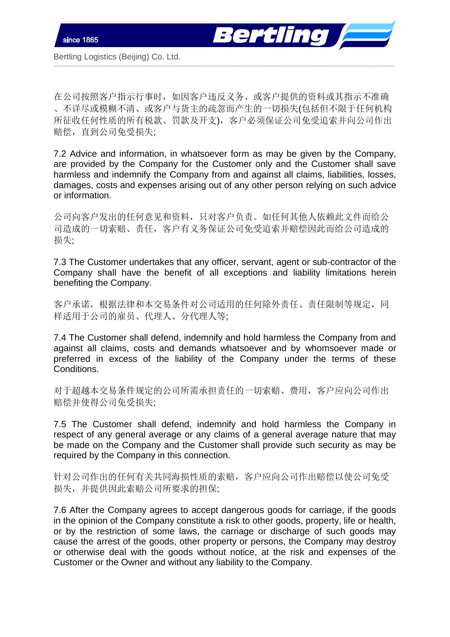



在公司按照客户指示行事时,如因客户违反义务、或客户提供的资料或其指示不准确 、不详尽或模糊不清、或客户与货主的疏忽而产生的一切损失(包括但不限于任何机构 所征收任何性质的所有税款、罚款及开支),客户必须保证公司免受追索并向公司作出 赔偿,直到公司免受损失;

\_\_\_\_\_\_\_\_\_\_\_\_\_\_\_\_\_\_\_\_\_\_\_\_\_\_\_\_\_\_\_\_\_\_\_\_\_\_\_\_\_\_\_\_\_\_\_\_\_\_\_\_\_\_\_\_\_\_\_\_\_\_\_\_\_\_\_\_\_\_\_\_\_\_\_\_\_\_\_\_\_\_\_\_\_\_\_\_\_\_\_\_\_\_\_\_\_\_\_\_\_\_\_\_\_\_\_\_\_\_\_\_\_\_\_\_\_\_\_\_\_\_\_\_\_\_\_\_\_\_\_\_\_\_\_

7.2 Advice and information, in whatsoever form as may be given by the Company, are provided by the Company for the Customer only and the Customer shall save harmless and indemnify the Company from and against all claims, liabilities, losses, damages, costs and expenses arising out of any other person relying on such advice or information.

公司向客户发出的任何意见和资料,只对客户负责。如任何其他人依赖此文件而给公 司造成的一切索赔、责任,客户有义务保证公司免受追索并赔偿因此而给公司造成的 损失;

7.3 The Customer undertakes that any officer, servant, agent or sub-contractor of the Company shall have the benefit of all exceptions and liability limitations herein benefiting the Company.

客户承诺,根据法律和本交易条件对公司适用的任何除外责任、责任限制等规定,同 样适用于公司的雇员、代理人、分代理人等;

7.4 The Customer shall defend, indemnify and hold harmless the Company from and against all claims, costs and demands whatsoever and by whomsoever made or preferred in excess of the liability of the Company under the terms of these Conditions.

对于超越本交易条件规定的公司所需承担责任的一切索赔、费用,客户应向公司作出 赔偿并使得公司免受损失;

7.5 The Customer shall defend, indemnify and hold harmless the Company in respect of any general average or any claims of a general average nature that may be made on the Company and the Customer shall provide such security as may be required by the Company in this connection.

针对公司作出的任何有关共同海损性质的索赔,客户应向公司作出赔偿以使公司免受 损失,并提供因此索赔公司所要求的担保;

7.6 After the Company agrees to accept dangerous goods for carriage, if the goods in the opinion of the Company constitute a risk to other goods, property, life or health, or by the restriction of some laws, the carriage or discharge of such goods may cause the arrest of the goods, other property or persons, the Company may destroy or otherwise deal with the goods without notice, at the risk and expenses of the Customer or the Owner and without any liability to the Company.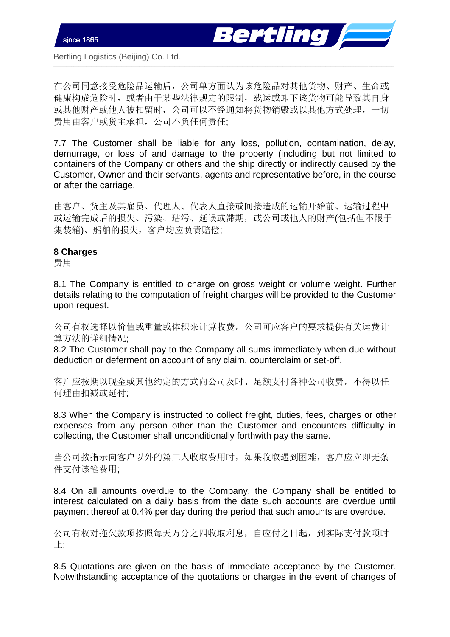

在公司同意接受危险品运输后,公司单方面认为该危险品对其他货物、财产、生命或 健康构成危险时,或者由于某些法律规定的限制,载运或卸下该货物可能导致其自身 或其他财产或他人被扣留时,公司可以不经通知将货物销毁或以其他方式处理,一切 费用由客户或货主承担,公司不负任何责任;

\_\_\_\_\_\_\_\_\_\_\_\_\_\_\_\_\_\_\_\_\_\_\_\_\_\_\_\_\_\_\_\_\_\_\_\_\_\_\_\_\_\_\_\_\_\_\_\_\_\_\_\_\_\_\_\_\_\_\_\_\_\_\_\_\_\_\_\_\_\_\_\_\_\_\_\_\_\_\_\_\_\_\_\_\_\_\_\_\_\_\_\_\_\_\_\_\_\_\_\_\_\_\_\_\_\_\_\_\_\_\_\_\_\_\_\_\_\_\_\_\_\_\_\_\_\_\_\_\_\_\_\_\_\_\_

7.7 The Customer shall be liable for any loss, pollution, contamination, delay, demurrage, or loss of and damage to the property (including but not limited to containers of the Company or others and the ship directly or indirectly caused by the Customer, Owner and their servants, agents and representative before, in the course or after the carriage.

由客户、货主及其雇员、代理人、代表人直接或间接造成的运输开始前、运输过程中 或运输完成后的损失、污染、玷污、延误或滞期,或公司或他人的财产(包括但不限于 集装箱)、船舶的损失,客户均应负责赔偿;

#### **8 Charges**

费用

8.1 The Company is entitled to charge on gross weight or volume weight. Further details relating to the computation of freight charges will be provided to the Customer upon request.

公司有权选择以价值或重量或体积来计算收费。公司可应客户的要求提供有关运费计 算方法的详细情况;

8.2 The Customer shall pay to the Company all sums immediately when due without deduction or deferment on account of any claim, counterclaim or set-off.

客户应按期以现金或其他约定的方式向公司及时、足额支付各种公司收费,不得以任 何理由扣减或延付;

8.3 When the Company is instructed to collect freight, duties, fees, charges or other expenses from any person other than the Customer and encounters difficulty in collecting, the Customer shall unconditionally forthwith pay the same.

当公司按指示向客户以外的第三人收取费用时,如果收取遇到困难,客户应立即无条 件支付该笔费用;

8.4 On all amounts overdue to the Company, the Company shall be entitled to interest calculated on a daily basis from the date such accounts are overdue until payment thereof at 0.4% per day during the period that such amounts are overdue.

公司有权对拖欠款项按照每天万分之四收取利息,自应付之日起,到实际支付款项时 止;

8.5 Quotations are given on the basis of immediate acceptance by the Customer. Notwithstanding acceptance of the quotations or charges in the event of changes of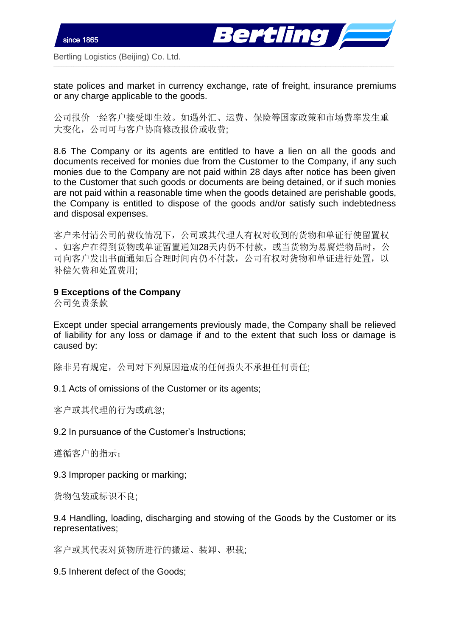



state polices and market in currency exchange, rate of freight, insurance premiums or any charge applicable to the goods.

\_\_\_\_\_\_\_\_\_\_\_\_\_\_\_\_\_\_\_\_\_\_\_\_\_\_\_\_\_\_\_\_\_\_\_\_\_\_\_\_\_\_\_\_\_\_\_\_\_\_\_\_\_\_\_\_\_\_\_\_\_\_\_\_\_\_\_\_\_\_\_\_\_\_\_\_\_\_\_\_\_\_\_\_\_\_\_\_\_\_\_\_\_\_\_\_\_\_\_\_\_\_\_\_\_\_\_\_\_\_\_\_\_\_\_\_\_\_\_\_\_\_\_\_\_\_\_\_\_\_\_\_\_\_\_

公司报价一经客户接受即生效。如遇外汇、运费、保险等国家政策和市场费率发生重 大变化,公司可与客户协商修改报价或收费;

8.6 The Company or its agents are entitled to have a lien on all the goods and documents received for monies due from the Customer to the Company, if any such monies due to the Company are not paid within 28 days after notice has been given to the Customer that such goods or documents are being detained, or if such monies are not paid within a reasonable time when the goods detained are perishable goods, the Company is entitled to dispose of the goods and/or satisfy such indebtedness and disposal expenses.

客户未付清公司的费收情况下,公司或其代理人有权对收到的货物和单证行使留置权 。如客户在得到货物或单证留置通知28天内仍不付款,或当货物为易腐烂物品时,公 司向客户发出书面通知后合理时间内仍不付款,公司有权对货物和单证进行处置,以 补偿欠费和处置费用;

## **9 Exceptions of the Company**

公司免责条款

Except under special arrangements previously made, the Company shall be relieved of liability for any loss or damage if and to the extent that such loss or damage is caused by:

除非另有规定,公司对下列原因造成的任何损失不承担任何责任;

#### 9.1 Acts of omissions of the Customer or its agents;

客户或其代理的行为或疏忽;

9.2 In pursuance of the Customer's Instructions;

遵循客户的指示;

9.3 Improper packing or marking;

货物包装或标识不良;

9.4 Handling, loading, discharging and stowing of the Goods by the Customer or its representatives;

客户或其代表对货物所进行的搬运、装卸、积载;

9.5 Inherent defect of the Goods;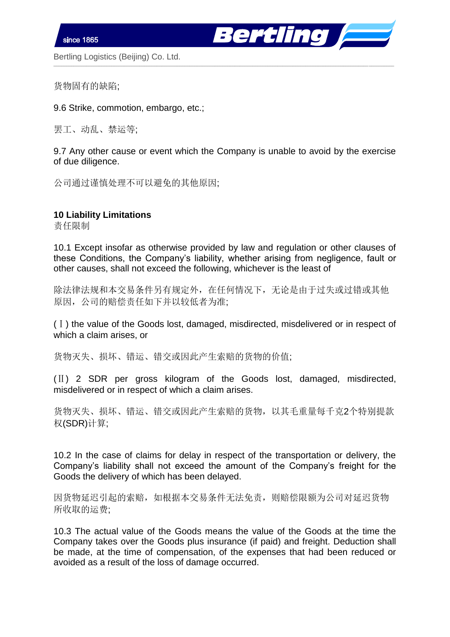ertling **de la se** 

Bertling Logistics (Beijing) Co. Ltd.

货物固有的缺陷;

9.6 Strike, commotion, embargo, etc.;

罢工、动乱、禁运等;

9.7 Any other cause or event which the Company is unable to avoid by the exercise of due diligence.

\_\_\_\_\_\_\_\_\_\_\_\_\_\_\_\_\_\_\_\_\_\_\_\_\_\_\_\_\_\_\_\_\_\_\_\_\_\_\_\_\_\_\_\_\_\_\_\_\_\_\_\_\_\_\_\_\_\_\_\_\_\_\_\_\_\_\_\_\_\_\_\_\_\_\_\_\_\_\_\_\_\_\_\_\_\_\_\_\_\_\_\_\_\_\_\_\_\_\_\_\_\_\_\_\_\_\_\_\_\_\_\_\_\_\_\_\_\_\_\_\_\_\_\_\_\_\_\_\_\_\_\_\_\_\_

公司通过谨慎处理不可以避免的其他原因;

#### **10 Liability Limitations**

责任限制

10.1 Except insofar as otherwise provided by law and regulation or other clauses of these Conditions, the Company's liability, whether arising from negligence, fault or other causes, shall not exceed the following, whichever is the least of

除法律法规和本交易条件另有规定外,在任何情况下,无论是由于过失或过错或其他 原因,公司的赔偿责任如下并以较低者为准;

(Ⅰ) the value of the Goods lost, damaged, misdirected, misdelivered or in respect of which a claim arises, or

货物灭失、损坏、错运、错交或因此产生索赔的货物的价值;

(Ⅱ) 2 SDR per gross kilogram of the Goods lost, damaged, misdirected, misdelivered or in respect of which a claim arises.

货物灭失、损坏、错运、错交或因此产生索赔的货物,以其毛重量每千克2个特别提款 权(SDR)计算;

10.2 In the case of claims for delay in respect of the transportation or delivery, the Company's liability shall not exceed the amount of the Company's freight for the Goods the delivery of which has been delayed.

因货物延迟引起的索赔,如根据本交易条件无法免责,则赔偿限额为公司对延迟货物 所收取的运费;

10.3 The actual value of the Goods means the value of the Goods at the time the Company takes over the Goods plus insurance (if paid) and freight. Deduction shall be made, at the time of compensation, of the expenses that had been reduced or avoided as a result of the loss of damage occurred.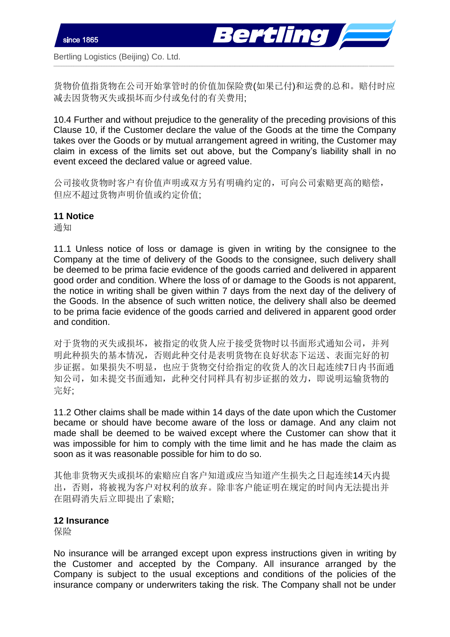

货物价值指货物在公司开始掌管时的价值加保险费(如果已付)和运费的总和。赔付时应 减去因货物灭失或损坏而少付或免付的有关费用;

\_\_\_\_\_\_\_\_\_\_\_\_\_\_\_\_\_\_\_\_\_\_\_\_\_\_\_\_\_\_\_\_\_\_\_\_\_\_\_\_\_\_\_\_\_\_\_\_\_\_\_\_\_\_\_\_\_\_\_\_\_\_\_\_\_\_\_\_\_\_\_\_\_\_\_\_\_\_\_\_\_\_\_\_\_\_\_\_\_\_\_\_\_\_\_\_\_\_\_\_\_\_\_\_\_\_\_\_\_\_\_\_\_\_\_\_\_\_\_\_\_\_\_\_\_\_\_\_\_\_\_\_\_\_\_

10.4 Further and without prejudice to the generality of the preceding provisions of this Clause 10, if the Customer declare the value of the Goods at the time the Company takes over the Goods or by mutual arrangement agreed in writing, the Customer may claim in excess of the limits set out above, but the Company's liability shall in no event exceed the declared value or agreed value.

公司接收货物时客户有价值声明或双方另有明确约定的,可向公司索赔更高的赔偿, 但应不超过货物声明价值或约定价值;

### **11 Notice**

通知

11.1 Unless notice of loss or damage is given in writing by the consignee to the Company at the time of delivery of the Goods to the consignee, such delivery shall be deemed to be prima facie evidence of the goods carried and delivered in apparent good order and condition. Where the loss of or damage to the Goods is not apparent, the notice in writing shall be given within 7 days from the next day of the delivery of the Goods. In the absence of such written notice, the delivery shall also be deemed to be prima facie evidence of the goods carried and delivered in apparent good order and condition.

对于货物的灭失或损坏,被指定的收货人应于接受货物时以书面形式通知公司,并列 明此种损失的基本情况,否则此种交付是表明货物在良好状态下运送、表面完好的初 步证据。如果损失不明显,也应于货物交付给指定的收货人的次日起连续7日内书面通 知公司,如未提交书面通知,此种交付同样具有初步证据的效力,即说明运输货物的 完好;

11.2 Other claims shall be made within 14 days of the date upon which the Customer became or should have become aware of the loss or damage. And any claim not made shall be deemed to be waived except where the Customer can show that it was impossible for him to comply with the time limit and he has made the claim as soon as it was reasonable possible for him to do so.

其他非货物灭失或损坏的索赔应自客户知道或应当知道产生损失之日起连续14天内提 出,否则,将被视为客户对权利的放弃。除非客户能证明在规定的时间内无法提出并 在阻碍消失后立即提出了索赔;

#### **12 Insurance**

保险

No insurance will be arranged except upon express instructions given in writing by the Customer and accepted by the Company. All insurance arranged by the Company is subject to the usual exceptions and conditions of the policies of the insurance company or underwriters taking the risk. The Company shall not be under